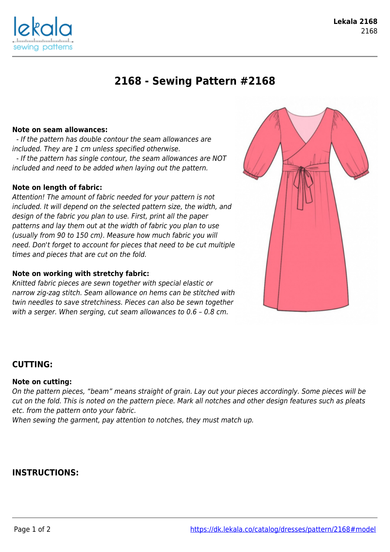

# **2168 - Sewing Pattern #2168**

## **Note on seam allowances:**

sewina patterns

 - If the pattern has double contour the seam allowances are included. They are 1 cm unless specified otherwise. - If the pattern has single contour, the seam allowances are NOT included and need to be added when laying out the pattern.

## **Note on length of fabric:**

Attention! The amount of fabric needed for your pattern is not included. It will depend on the selected pattern size, the width, and design of the fabric you plan to use. First, print all the paper patterns and lay them out at the width of fabric you plan to use (usually from 90 to 150 cm). Measure how much fabric you will need. Don't forget to account for pieces that need to be cut multiple times and pieces that are cut on the fold.

#### **Note on working with stretchy fabric:**

Knitted fabric pieces are sewn together with special elastic or narrow zig-zag stitch. Seam allowance on hems can be stitched with twin needles to save stretchiness. Pieces can also be sewn together with a serger. When serging, cut seam allowances to 0.6 – 0.8 cm.



## **CUTTING:**

#### **Note on cutting:**

On the pattern pieces, "beam" means straight of grain. Lay out your pieces accordingly. Some pieces will be cut on the fold. This is noted on the pattern piece. Mark all notches and other design features such as pleats etc. from the pattern onto your fabric.

When sewing the garment, pay attention to notches, they must match up.

## **INSTRUCTIONS:**